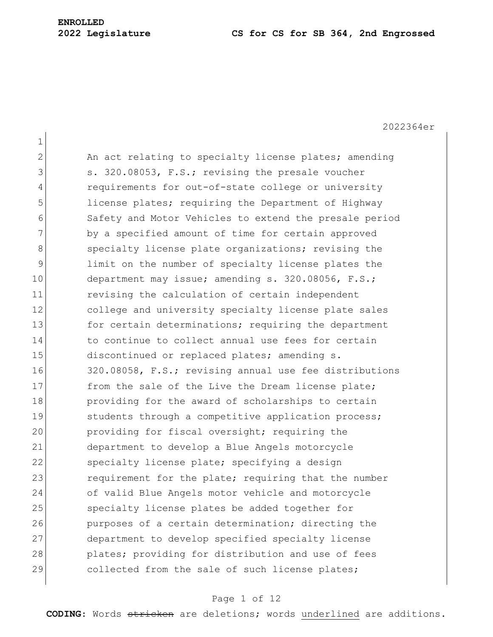# **ENROLLED**

#### **2022 Legislature CS for CS for SB 364, 2nd Engrossed**

2022364er 1 2 An act relating to specialty license plates; amending 3 s. 320.08053, F.S.; revising the presale voucher 4 requirements for out-of-state college or university 5 1icense plates; requiring the Department of Highway 6 Safety and Motor Vehicles to extend the presale period 7 by a specified amount of time for certain approved 8 specialty license plate organizations; revising the 9 limit on the number of specialty license plates the 10 department may issue; amending s. 320.08056, F.S.; 11 revising the calculation of certain independent 12 college and university specialty license plate sales 13 for certain determinations; requiring the department 14 to continue to collect annual use fees for certain 15 discontinued or replaced plates; amending s. 16 320.08058, F.S.; revising annual use fee distributions 17 from the sale of the Live the Dream license plate; 18 **providing for the award of scholarships to certain** 19 Students through a competitive application process; 20 providing for fiscal oversight; requiring the 21 department to develop a Blue Angels motorcycle 22 specialty license plate; specifying a design 23 requirement for the plate; requiring that the number 24 of valid Blue Angels motor vehicle and motorcycle 25 specialty license plates be added together for 26 purposes of a certain determination; directing the 27 department to develop specified specialty license 28 plates; providing for distribution and use of fees 29 collected from the sale of such license plates;

#### Page 1 of 12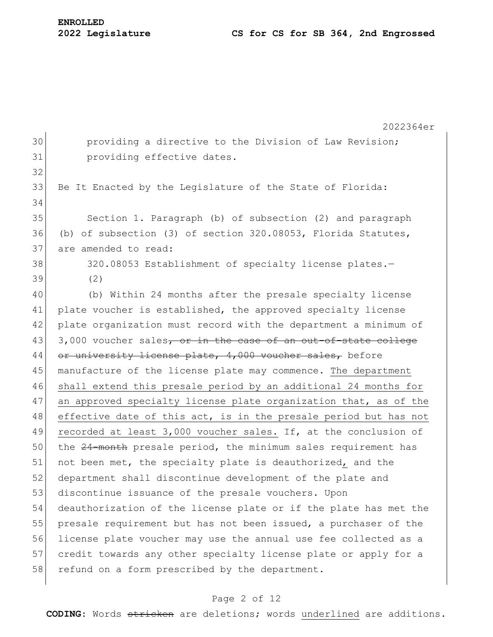|    | 2022364er                                                        |
|----|------------------------------------------------------------------|
| 30 | providing a directive to the Division of Law Revision;           |
| 31 | providing effective dates.                                       |
| 32 |                                                                  |
| 33 | Be It Enacted by the Legislature of the State of Florida:        |
| 34 |                                                                  |
| 35 | Section 1. Paragraph (b) of subsection (2) and paragraph         |
| 36 | (b) of subsection (3) of section $320.08053$ , Florida Statutes, |
| 37 | are amended to read:                                             |
| 38 | 320.08053 Establishment of specialty license plates.-            |
| 39 | (2)                                                              |
| 40 | (b) Within 24 months after the presale specialty license         |
| 41 | plate voucher is established, the approved specialty license     |
| 42 | plate organization must record with the department a minimum of  |
| 43 | 3,000 voucher sales, or in the case of an out-of-state college   |
| 44 | or university license plate, 4,000 voucher sales, before         |
| 45 | manufacture of the license plate may commence. The department    |
| 46 | shall extend this presale period by an additional 24 months for  |
| 47 | an approved specialty license plate organization that, as of the |
| 48 | effective date of this act, is in the presale period but has not |
| 49 | recorded at least 3,000 voucher sales. If, at the conclusion of  |
| 50 | the 24-month presale period, the minimum sales requirement has   |
| 51 | not been met, the specialty plate is deauthorized, and the       |
| 52 | department shall discontinue development of the plate and        |
| 53 | discontinue issuance of the presale vouchers. Upon               |
| 54 | deauthorization of the license plate or if the plate has met the |
| 55 | presale requirement but has not been issued, a purchaser of the  |
| 56 | license plate voucher may use the annual use fee collected as a  |
| 57 | credit towards any other specialty license plate or apply for a  |
| 58 | refund on a form prescribed by the department.                   |
|    |                                                                  |

### Page 2 of 12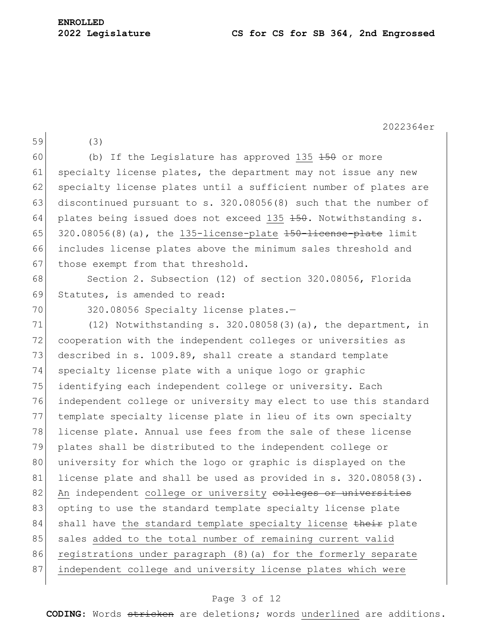59 (3)

2022364er

60 (b) If the Legislature has approved 135  $\pm$ 50 or more 61 specialty license plates, the department may not issue any new 62 specialty license plates until a sufficient number of plates are 63 discontinued pursuant to s. 320.08056(8) such that the number of 64 plates being issued does not exceed 135  $150$ . Notwithstanding s. 65  $320.08056(8)$  (a), the 135-license-plate  $150$ -license-plate limit 66 includes license plates above the minimum sales threshold and 67 those exempt from that threshold. 68 Section 2. Subsection (12) of section 320.08056, Florida 69 Statutes, is amended to read: 70 320.08056 Specialty license plates.-71  $(12)$  Notwithstanding s. 320.08058(3)(a), the department, in 72 cooperation with the independent colleges or universities as 73 described in s. 1009.89, shall create a standard template 74 specialty license plate with a unique logo or graphic 75 identifying each independent college or university. Each 76 independent college or university may elect to use this standard

77 template specialty license plate in lieu of its own specialty 78 license plate. Annual use fees from the sale of these license 79 plates shall be distributed to the independent college or 80 university for which the logo or graphic is displayed on the 81 license plate and shall be used as provided in s. 320.08058(3). 82 An independent college or university colleges or universities 83 opting to use the standard template specialty license plate 84 shall have the standard template specialty license their plate 85 sales added to the total number of remaining current valid 86 registrations under paragraph (8) (a) for the formerly separate 87 independent college and university license plates which were

#### Page 3 of 12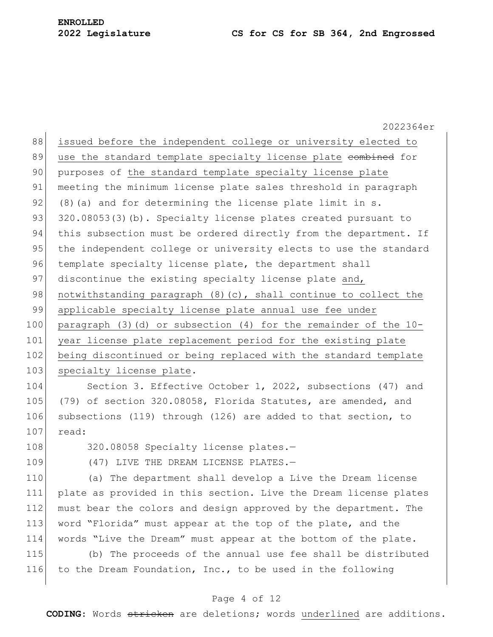2022364er 88 issued before the independent college or university elected to 89 use the standard template specialty license plate combined for 90 purposes of the standard template specialty license plate 91 meeting the minimum license plate sales threshold in paragraph 92 (8)(a) and for determining the license plate limit in s. 93 320.08053(3)(b). Specialty license plates created pursuant to 94 this subsection must be ordered directly from the department. If 95 the independent college or university elects to use the standard 96 template specialty license plate, the department shall 97 discontinue the existing specialty license plate and, 98 notwithstanding paragraph  $(8)(c)$ , shall continue to collect the 99 applicable specialty license plate annual use fee under 100 paragraph (3)(d) or subsection (4) for the remainder of the 10- 101 year license plate replacement period for the existing plate 102 being discontinued or being replaced with the standard template 103 specialty license plate. 104 Section 3. Effective October 1, 2022, subsections (47) and 105 (79) of section 320.08058, Florida Statutes, are amended, and 106 subsections (119) through (126) are added to that section, to 107 read:

108 320.08058 Specialty license plates.-

109 (47) LIVE THE DREAM LICENSE PLATES.-

 (a) The department shall develop a Live the Dream license plate as provided in this section. Live the Dream license plates must bear the colors and design approved by the department. The word "Florida" must appear at the top of the plate, and the words "Live the Dream" must appear at the bottom of the plate.

115 (b) The proceeds of the annual use fee shall be distributed 116 to the Dream Foundation, Inc., to be used in the following

### Page 4 of 12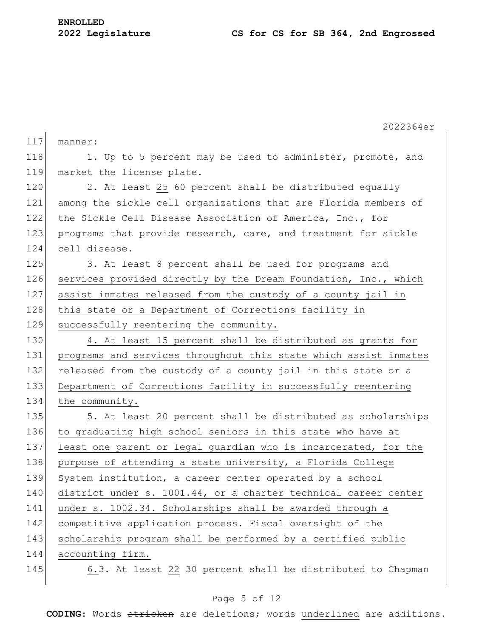|     | 2022364er                                                        |
|-----|------------------------------------------------------------------|
| 117 | manner:                                                          |
| 118 | 1. Up to 5 percent may be used to administer, promote, and       |
| 119 | market the license plate.                                        |
| 120 | 2. At least 25 60 percent shall be distributed equally           |
| 121 | among the sickle cell organizations that are Florida members of  |
| 122 | the Sickle Cell Disease Association of America, Inc., for        |
| 123 | programs that provide research, care, and treatment for sickle   |
| 124 | cell disease.                                                    |
| 125 | 3. At least 8 percent shall be used for programs and             |
| 126 | services provided directly by the Dream Foundation, Inc., which  |
| 127 | assist inmates released from the custody of a county jail in     |
| 128 | this state or a Department of Corrections facility in            |
| 129 | successfully reentering the community.                           |
| 130 | 4. At least 15 percent shall be distributed as grants for        |
| 131 | programs and services throughout this state which assist inmates |
| 132 | released from the custody of a county jail in this state or a    |
| 133 | Department of Corrections facility in successfully reentering    |
| 134 | the community.                                                   |
| 135 | 5. At least 20 percent shall be distributed as scholarships      |
| 136 | to graduating high school seniors in this state who have at      |
| 137 | least one parent or legal guardian who is incarcerated, for the  |
| 138 | purpose of attending a state university, a Florida College       |
| 139 | System institution, a career center operated by a school         |
| 140 | district under s. 1001.44, or a charter technical career center  |
| 141 | under s. 1002.34. Scholarships shall be awarded through a        |
| 142 | competitive application process. Fiscal oversight of the         |
| 143 | scholarship program shall be performed by a certified public     |
| 144 | accounting firm.                                                 |
| 145 | 6.3. At least 22 30 percent shall be distributed to Chapman      |
|     |                                                                  |

### Page 5 of 12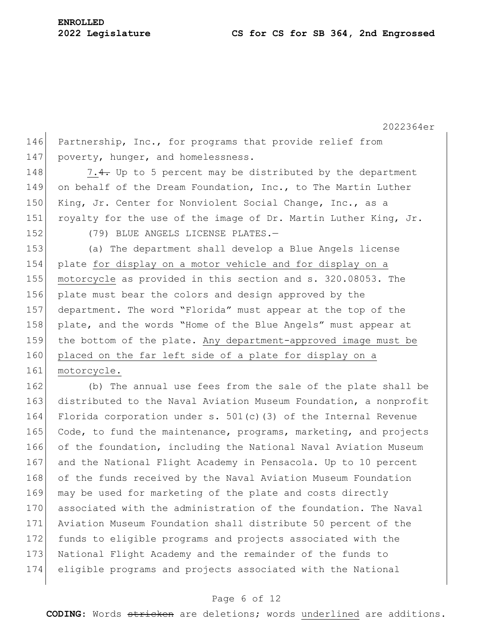2022364er 146 Partnership, Inc., for programs that provide relief from 147 | poverty, hunger, and homelessness. 148  $\vert$  7.4. Up to 5 percent may be distributed by the department 149 on behalf of the Dream Foundation, Inc., to The Martin Luther 150 King, Jr. Center for Nonviolent Social Change, Inc., as a 151 royalty for the use of the image of Dr. Martin Luther King, Jr. 152 (79) BLUE ANGELS LICENSE PLATES. 153 (a) The department shall develop a Blue Angels license 154 plate for display on a motor vehicle and for display on a 155 motorcycle as provided in this section and s. 320.08053. The 156 plate must bear the colors and design approved by the 157 department. The word "Florida" must appear at the top of the 158 plate, and the words "Home of the Blue Angels" must appear at 159 the bottom of the plate. Any department-approved image must be 160 placed on the far left side of a plate for display on a 161 motorcycle. 162 (b) The annual use fees from the sale of the plate shall be 163 distributed to the Naval Aviation Museum Foundation, a nonprofit 164 Florida corporation under s. 501(c)(3) of the Internal Revenue 165 Code, to fund the maintenance, programs, marketing, and projects 166 of the foundation, including the National Naval Aviation Museum 167 and the National Flight Academy in Pensacola. Up to 10 percent 168 of the funds received by the Naval Aviation Museum Foundation 169 may be used for marketing of the plate and costs directly 170 associated with the administration of the foundation. The Naval 171 Aviation Museum Foundation shall distribute 50 percent of the 172 funds to eligible programs and projects associated with the 173 National Flight Academy and the remainder of the funds to 174 eligible programs and projects associated with the National

#### Page 6 of 12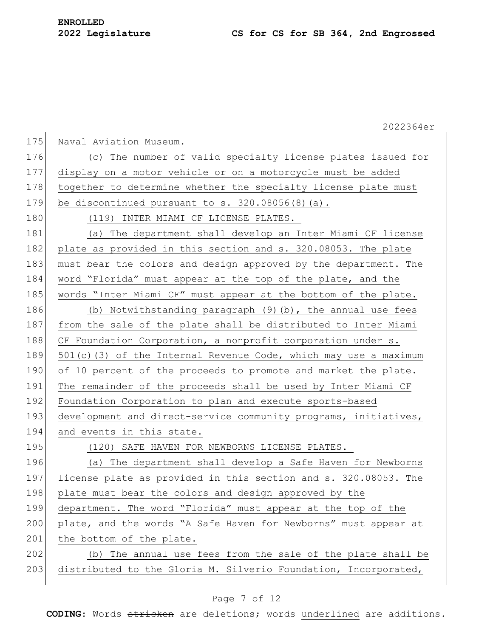|       | 2022364er                                                          |
|-------|--------------------------------------------------------------------|
| 175   | Naval Aviation Museum.                                             |
| 176   | (c) The number of valid specialty license plates issued for        |
| 177   | display on a motor vehicle or on a motorcycle must be added        |
| 178   | together to determine whether the specialty license plate must     |
| 179   | be discontinued pursuant to $s. 320.08056(8)$ (a).                 |
| 180   | (119) INTER MIAMI CF LICENSE PLATES.-                              |
| 181   | (a) The department shall develop an Inter Miami CF license         |
| 182   | plate as provided in this section and s. 320.08053. The plate      |
| 183   | must bear the colors and design approved by the department. The    |
| 184   | word "Florida" must appear at the top of the plate, and the        |
| 185   | words "Inter Miami CF" must appear at the bottom of the plate.     |
| 186   | (b) Notwithstanding paragraph (9)(b), the annual use fees          |
| 187   | from the sale of the plate shall be distributed to Inter Miami     |
| 188   | CF Foundation Corporation, a nonprofit corporation under s.        |
| 189   | $501(c)$ (3) of the Internal Revenue Code, which may use a maximum |
| 190   | of 10 percent of the proceeds to promote and market the plate.     |
| 191   | The remainder of the proceeds shall be used by Inter Miami CF      |
| 192   | Foundation Corporation to plan and execute sports-based            |
| 193   | development and direct-service community programs, initiatives,    |
| 194   | and events in this state.                                          |
| 195   | (120) SAFE HAVEN FOR NEWBORNS LICENSE PLATES.-                     |
| 196   | (a) The department shall develop a Safe Haven for Newborns         |
| 197   | license plate as provided in this section and s. 320.08053. The    |
| 198   | plate must bear the colors and design approved by the              |
| 199   | department. The word "Florida" must appear at the top of the       |
| 200   | plate, and the words "A Safe Haven for Newborns" must appear at    |
| $201$ | the bottom of the plate.                                           |
| 202   | (b) The annual use fees from the sale of the plate shall be        |
| 203   | distributed to the Gloria M. Silverio Foundation, Incorporated,    |
|       |                                                                    |

### Page 7 of 12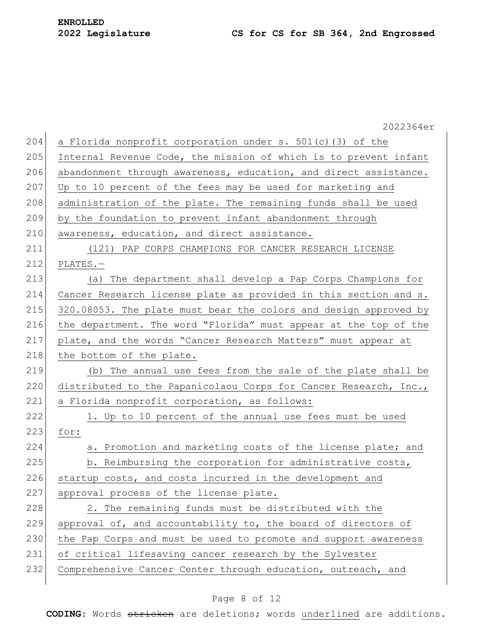2022364er 204 a Florida nonprofit corporation under s. 501(c)(3) of the 205 Internal Revenue Code, the mission of which is to prevent infant 206 abandonment through awareness, education, and direct assistance. 207 Up to 10 percent of the fees may be used for marketing and 208 administration of the plate. The remaining funds shall be used 209 by the foundation to prevent infant abandonment through 210 awareness, education, and direct assistance. 211 (121) PAP CORPS CHAMPIONS FOR CANCER RESEARCH LICENSE 212 PLATES.— 213 (a) The department shall develop a Pap Corps Champions for 214 Cancer Research license plate as provided in this section and s. 215 320.08053. The plate must bear the colors and design approved by 216 the department. The word "Florida" must appear at the top of the 217 plate, and the words "Cancer Research Matters" must appear at 218 the bottom of the plate. 219 (b) The annual use fees from the sale of the plate shall be 220 distributed to the Papanicolaou Corps for Cancer Research, Inc., 221 a Florida nonprofit corporation, as follows:  $222$  1. Up to 10 percent of the annual use fees must be used 223 for: 224 a. Promotion and marketing costs of the license plate; and 225 b. Reimbursing the corporation for administrative costs, 226 startup costs, and costs incurred in the development and 227 approval process of the license plate. 228 2. The remaining funds must be distributed with the 229 approval of, and accountability to, the board of directors of 230 | the Pap Corps and must be used to promote and support awareness 231 of critical lifesaving cancer research by the Sylvester 232 Comprehensive Cancer Center through education, outreach, and

#### Page 8 of 12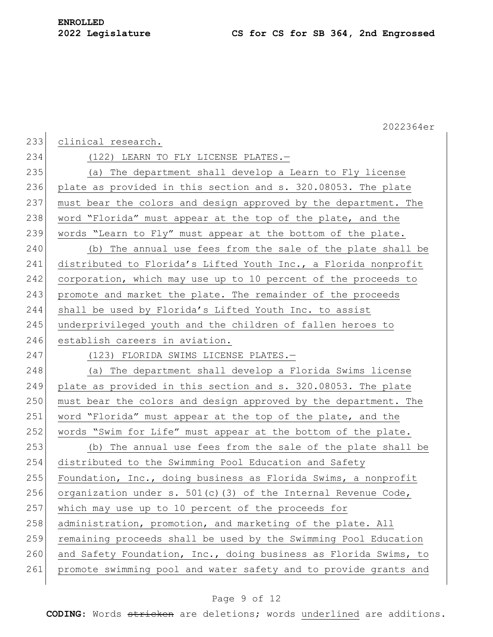|     | 2022364er                                                        |
|-----|------------------------------------------------------------------|
| 233 | clinical research.                                               |
| 234 | (122) LEARN TO FLY LICENSE PLATES.-                              |
| 235 | (a) The department shall develop a Learn to Fly license          |
| 236 | plate as provided in this section and s. 320.08053. The plate    |
| 237 | must bear the colors and design approved by the department. The  |
| 238 | word "Florida" must appear at the top of the plate, and the      |
| 239 | words "Learn to Fly" must appear at the bottom of the plate.     |
| 240 | (b) The annual use fees from the sale of the plate shall be      |
| 241 | distributed to Florida's Lifted Youth Inc., a Florida nonprofit  |
| 242 | corporation, which may use up to 10 percent of the proceeds to   |
| 243 | promote and market the plate. The remainder of the proceeds      |
| 244 | shall be used by Florida's Lifted Youth Inc. to assist           |
| 245 | underprivileged youth and the children of fallen heroes to       |
| 246 | establish careers in aviation.                                   |
| 247 | (123) FLORIDA SWIMS LICENSE PLATES.-                             |
| 248 | (a) The department shall develop a Florida Swims license         |
| 249 | plate as provided in this section and s. 320.08053. The plate    |
| 250 | must bear the colors and design approved by the department. The  |
| 251 | word "Florida" must appear at the top of the plate, and the      |
| 252 | words "Swim for Life" must appear at the bottom of the plate.    |
| 253 | (b) The annual use fees from the sale of the plate shall be      |
| 254 | distributed to the Swimming Pool Education and Safety            |
| 255 | Foundation, Inc., doing business as Florida Swims, a nonprofit   |
| 256 | organization under s. $501(c)$ (3) of the Internal Revenue Code, |
| 257 | which may use up to 10 percent of the proceeds for               |
| 258 | administration, promotion, and marketing of the plate. All       |
| 259 | remaining proceeds shall be used by the Swimming Pool Education  |
| 260 | and Safety Foundation, Inc., doing business as Florida Swims, to |
| 261 | promote swimming pool and water safety and to provide grants and |
|     |                                                                  |

### Page 9 of 12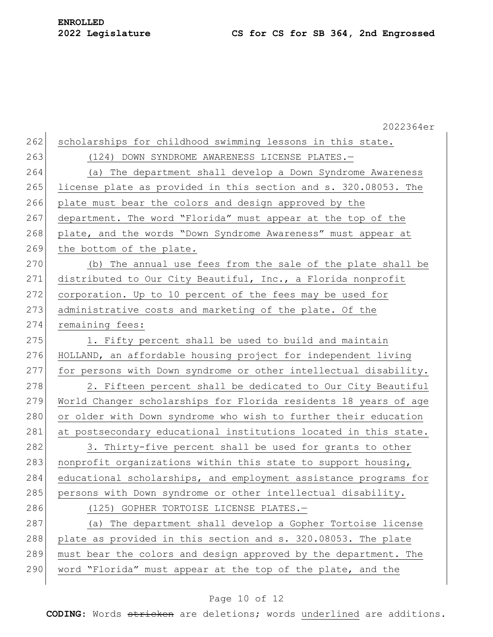|     | 2022364er                                                        |
|-----|------------------------------------------------------------------|
| 262 | scholarships for childhood swimming lessons in this state.       |
| 263 | (124) DOWN SYNDROME AWARENESS LICENSE PLATES.-                   |
| 264 | (a) The department shall develop a Down Syndrome Awareness       |
| 265 | license plate as provided in this section and s. 320.08053. The  |
| 266 | plate must bear the colors and design approved by the            |
| 267 | department. The word "Florida" must appear at the top of the     |
| 268 | plate, and the words "Down Syndrome Awareness" must appear at    |
| 269 | the bottom of the plate.                                         |
| 270 | (b) The annual use fees from the sale of the plate shall be      |
| 271 | distributed to Our City Beautiful, Inc., a Florida nonprofit     |
| 272 | corporation. Up to 10 percent of the fees may be used for        |
| 273 | administrative costs and marketing of the plate. Of the          |
| 274 | remaining fees:                                                  |
| 275 | 1. Fifty percent shall be used to build and maintain             |
| 276 | HOLLAND, an affordable housing project for independent living    |
| 277 | for persons with Down syndrome or other intellectual disability. |
| 278 | 2. Fifteen percent shall be dedicated to Our City Beautiful      |
| 279 | World Changer scholarships for Florida residents 18 years of age |
| 280 | or older with Down syndrome who wish to further their education  |
| 281 | at postsecondary educational institutions located in this state. |
| 282 | 3. Thirty-five percent shall be used for grants to other         |
| 283 | nonprofit organizations within this state to support housing,    |
| 284 | educational scholarships, and employment assistance programs for |
| 285 | persons with Down syndrome or other intellectual disability.     |
| 286 | (125) GOPHER TORTOISE LICENSE PLATES.-                           |
| 287 | (a) The department shall develop a Gopher Tortoise license       |
| 288 | plate as provided in this section and s. 320.08053. The plate    |
| 289 | must bear the colors and design approved by the department. The  |
| 290 | word "Florida" must appear at the top of the plate, and the      |
|     |                                                                  |

### Page 10 of 12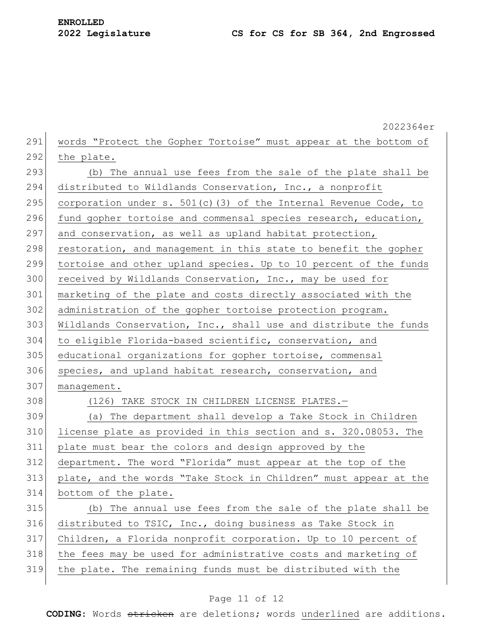2022364er 291 words "Protect the Gopher Tortoise" must appear at the bottom of 292 the plate. 293  $\vert$  (b) The annual use fees from the sale of the plate shall be 294 distributed to Wildlands Conservation, Inc., a nonprofit 295 corporation under s. 501(c)(3) of the Internal Revenue Code, to 296 fund gopher tortoise and commensal species research, education, 297 and conservation, as well as upland habitat protection, 298 restoration, and management in this state to benefit the gopher 299 tortoise and other upland species. Up to 10 percent of the funds 300 received by Wildlands Conservation, Inc., may be used for 301 marketing of the plate and costs directly associated with the 302 administration of the gopher tortoise protection program. 303 Wildlands Conservation, Inc., shall use and distribute the funds 304 to eligible Florida-based scientific, conservation, and 305 educational organizations for gopher tortoise, commensal 306 species, and upland habitat research, conservation, and 307 management. 308 (126) TAKE STOCK IN CHILDREN LICENSE PLATES. 309 (a) The department shall develop a Take Stock in Children 310 license plate as provided in this section and s. 320.08053. The 311 plate must bear the colors and design approved by the 312 department. The word "Florida" must appear at the top of the 313 plate, and the words "Take Stock in Children" must appear at the 314 bottom of the plate. 315 (b) The annual use fees from the sale of the plate shall be 316 distributed to TSIC, Inc., doing business as Take Stock in 317 Children, a Florida nonprofit corporation. Up to 10 percent of 318 the fees may be used for administrative costs and marketing of 319 the plate. The remaining funds must be distributed with the

#### Page 11 of 12